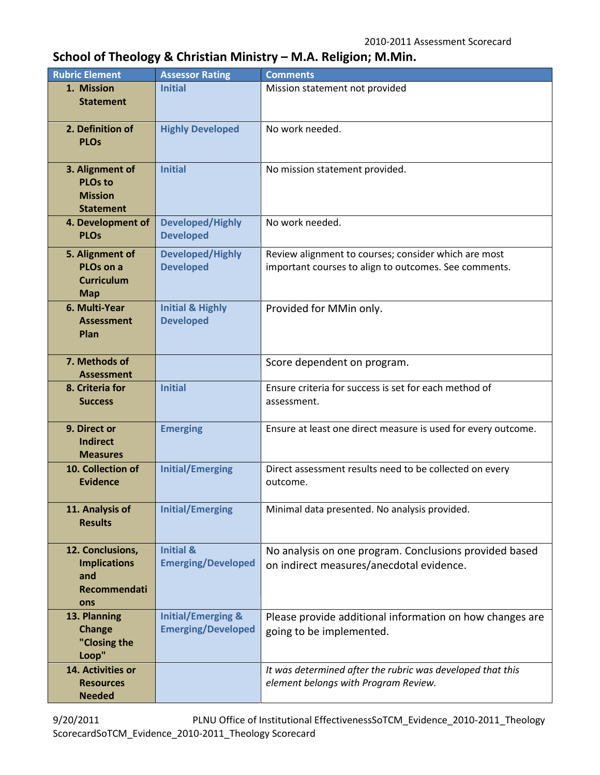## **School of Theology & Christian Ministry – M.A. Religion; M.Min.**

| <b>Rubric Element</b>                                                   | <b>Assessor Rating</b>                                     | <b>Comments</b>                                                                                               |
|-------------------------------------------------------------------------|------------------------------------------------------------|---------------------------------------------------------------------------------------------------------------|
| 1. Mission<br><b>Statement</b>                                          | <b>Initial</b>                                             | Mission statement not provided                                                                                |
| 2. Definition of<br><b>PLOs</b>                                         | <b>Highly Developed</b>                                    | No work needed.                                                                                               |
| 3. Alignment of<br><b>PLOs to</b><br><b>Mission</b><br><b>Statement</b> | <b>Initial</b>                                             | No mission statement provided.                                                                                |
| 4. Development of<br><b>PLOs</b>                                        | <b>Developed/Highly</b><br><b>Developed</b>                | No work needed.                                                                                               |
| 5. Alignment of<br>PLOs on a<br><b>Curriculum</b><br><b>Map</b>         | <b>Developed/Highly</b><br><b>Developed</b>                | Review alignment to courses; consider which are most<br>important courses to align to outcomes. See comments. |
| 6. Multi-Year<br><b>Assessment</b><br>Plan                              | <b>Initial &amp; Highly</b><br><b>Developed</b>            | Provided for MMin only.                                                                                       |
| 7. Methods of<br><b>Assessment</b>                                      |                                                            | Score dependent on program.                                                                                   |
| 8. Criteria for<br><b>Success</b>                                       | <b>Initial</b>                                             | Ensure criteria for success is set for each method of<br>assessment.                                          |
| 9. Direct or<br><b>Indirect</b><br><b>Measures</b>                      | <b>Emerging</b>                                            | Ensure at least one direct measure is used for every outcome.                                                 |
| 10. Collection of<br><b>Evidence</b>                                    | <b>Initial/Emerging</b>                                    | Direct assessment results need to be collected on every<br>outcome.                                           |
| 11. Analysis of<br><b>Results</b>                                       | <b>Initial/Emerging</b>                                    | Minimal data presented. No analysis provided.                                                                 |
| 12. Conclusions,<br><b>Implications</b><br>and<br>Recommendati<br>ons   | <b>Initial &amp;</b><br><b>Emerging/Developed</b>          | No analysis on one program. Conclusions provided based<br>on indirect measures/anecdotal evidence.            |
| 13. Planning<br><b>Change</b><br>"Closing the<br>Loop"                  | <b>Initial/Emerging &amp;</b><br><b>Emerging/Developed</b> | Please provide additional information on how changes are<br>going to be implemented.                          |
| 14. Activities or<br><b>Resources</b><br><b>Needed</b>                  |                                                            | It was determined after the rubric was developed that this<br>element belongs with Program Review.            |

9/20/2011 PLNU Office of Institutional EffectivenessSoTCM\_Evidence\_2010-2011\_Theology ScorecardSoTCM\_Evidence\_2010-2011\_Theology Scorecard